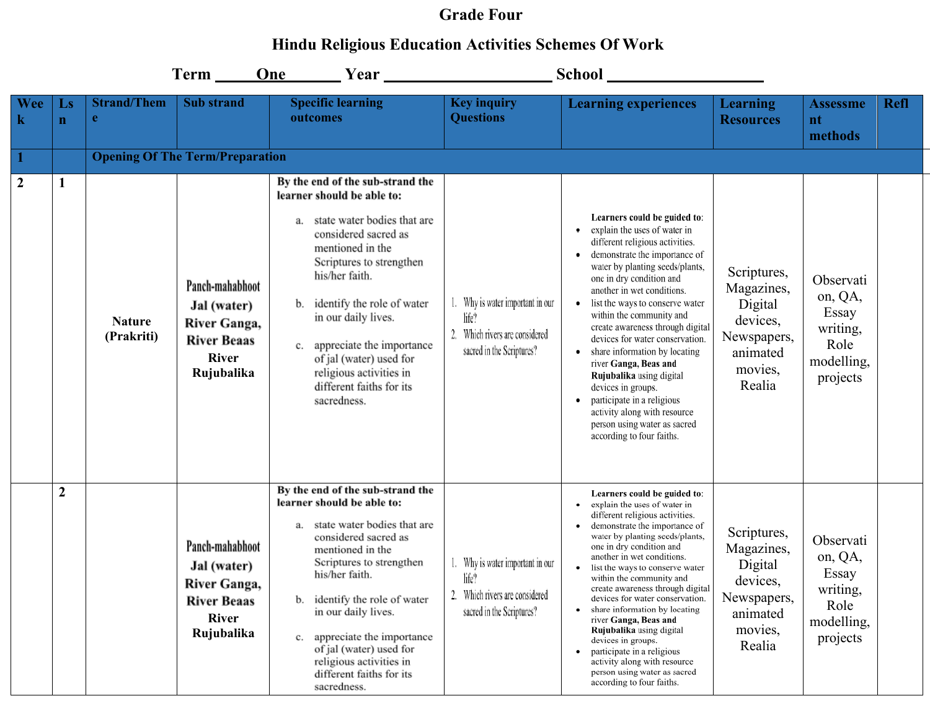## **Grade Four**

## **Hindu Religious Education Activities Schemes Of Work**

|                           |                                       |                             | $Term$ <sub>____</sub>                                                                             | One                                                                                                                                                                                                                                                                                                                                                                                          |                                                                                                          |                                                                                                                                                                                                                                                                                                                                                                                                                                                                                                                                                                                                                         |                                                                                                  |                                                                             |             |
|---------------------------|---------------------------------------|-----------------------------|----------------------------------------------------------------------------------------------------|----------------------------------------------------------------------------------------------------------------------------------------------------------------------------------------------------------------------------------------------------------------------------------------------------------------------------------------------------------------------------------------------|----------------------------------------------------------------------------------------------------------|-------------------------------------------------------------------------------------------------------------------------------------------------------------------------------------------------------------------------------------------------------------------------------------------------------------------------------------------------------------------------------------------------------------------------------------------------------------------------------------------------------------------------------------------------------------------------------------------------------------------------|--------------------------------------------------------------------------------------------------|-----------------------------------------------------------------------------|-------------|
| <b>Wee</b><br>$\mathbf k$ | $\mathbf{L}\mathbf{s}$<br>$\mathbf n$ | <b>Strand/Them</b><br>e     | <b>Sub</b> strand                                                                                  | <b>Specific learning</b><br>outcomes                                                                                                                                                                                                                                                                                                                                                         | <b>Key inquiry</b><br><b>Questions</b>                                                                   | <b>Learning experiences</b>                                                                                                                                                                                                                                                                                                                                                                                                                                                                                                                                                                                             | Learning<br><b>Resources</b>                                                                     | <b>Assessme</b><br>nt<br>methods                                            | <b>Refl</b> |
|                           |                                       |                             | <b>Opening Of The Term/Preparation</b>                                                             |                                                                                                                                                                                                                                                                                                                                                                                              |                                                                                                          |                                                                                                                                                                                                                                                                                                                                                                                                                                                                                                                                                                                                                         |                                                                                                  |                                                                             |             |
| $\boldsymbol{2}$          | $\mathbf{1}$                          | <b>Nature</b><br>(Prakriti) | Panch-mahabhoot<br>Jal (water)<br>River Ganga,<br><b>River Beaas</b><br><b>River</b><br>Rujubalika | By the end of the sub-strand the<br>learner should be able to:<br>state water bodies that are<br>a.<br>considered sacred as<br>mentioned in the<br>Scriptures to strengthen<br>his/her faith.<br>identify the role of water<br>b.<br>in our daily lives.<br>appreciate the importance<br>c.<br>of jal (water) used for<br>religious activities in<br>different faiths for its<br>sacredness. | 1. Why is water important in our<br>life?<br>2. Which rivers are considered<br>sacred in the Scriptures? | Learners could be guided to:<br>explain the uses of water in<br>different religious activities.<br>demonstrate the importance of<br>water by planting seeds/plants,<br>one in dry condition and<br>another in wet conditions.<br>• list the ways to conserve water<br>within the community and<br>create awareness through digital<br>devices for water conservation.<br>share information by locating<br>river Ganga, Beas and<br>Rujubalika using digital<br>devices in groups.<br>participate in a religious<br>activity along with resource<br>person using water as sacred<br>according to four faiths.            | Scriptures,<br>Magazines,<br>Digital<br>devices,<br>Newspapers,<br>animated<br>movies,<br>Realia | Observati<br>on, QA,<br>Essay<br>writing,<br>Role<br>modelling,<br>projects |             |
|                           | $\boldsymbol{2}$                      |                             | Panch-mahabhoot<br>Jal (water)<br>River Ganga,<br><b>River Beaas</b><br><b>River</b><br>Rujubalika | By the end of the sub-strand the<br>learner should be able to:<br>state water bodies that are<br>a.<br>considered sacred as<br>mentioned in the<br>Scriptures to strengthen<br>his/her faith.<br>identify the role of water<br>b.<br>in our daily lives.<br>appreciate the importance<br>c.<br>of jal (water) used for<br>religious activities in<br>different faiths for its<br>sacredness. | Why is water important in our<br>life?<br>Which rivers are considered<br>2.<br>sacred in the Scriptures? | Learners could be guided to:<br>explain the uses of water in<br>different religious activities.<br>demonstrate the importance of<br>water by planting seeds/plants,<br>one in dry condition and<br>another in wet conditions.<br>list the ways to conserve water<br>within the community and<br>create awareness through digital<br>devices for water conservation.<br>share information by locating<br>$\bullet$<br>river Ganga, Beas and<br>Rujubalika using digital<br>devices in groups.<br>participate in a religious<br>activity along with resource<br>person using water as sacred<br>according to four faiths. | Scriptures,<br>Magazines,<br>Digital<br>devices,<br>Newspapers,<br>animated<br>movies,<br>Realia | Observati<br>on, QA,<br>Essay<br>writing,<br>Role<br>modelling,<br>projects |             |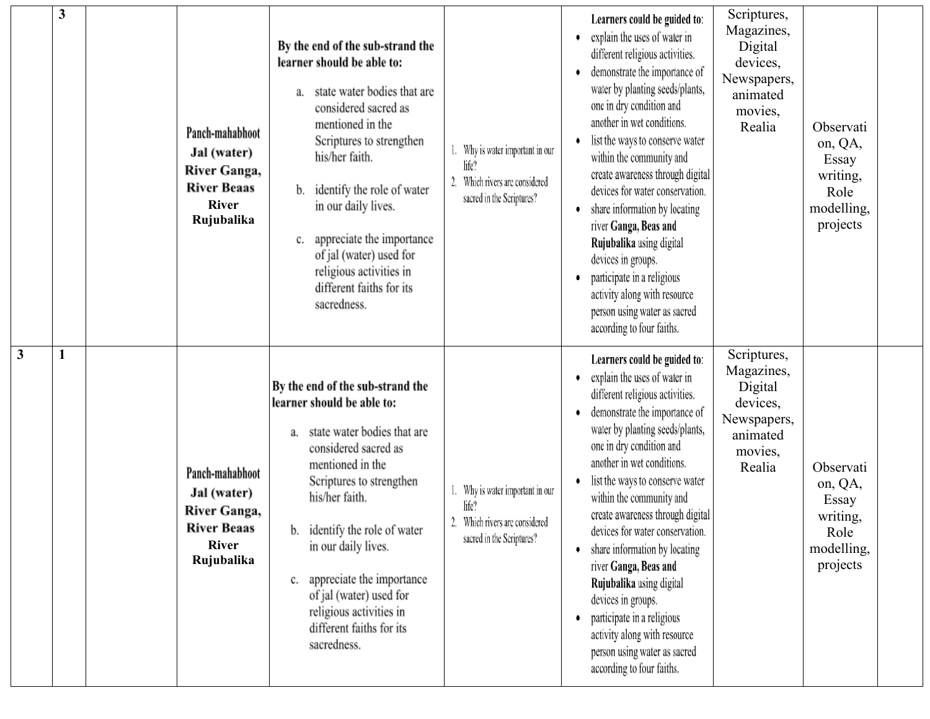|                         | 3            | Panch-mahabhoot<br>Jal (water)<br>River Ganga,<br><b>River Beaas</b><br><b>River</b><br>Rujubalika | By the end of the sub-strand the<br>learner should be able to:<br>state water bodies that are<br>a.<br>considered sacred as<br>mentioned in the<br>Scriptures to strengthen<br>his/her faith.<br>identify the role of water<br>b.<br>in our daily lives.<br>appreciate the importance<br>c.<br>of jal (water) used for<br>religious activities in<br>different faiths for its<br>sacredness. | Why is water important in our<br>life?<br>Which rivers are considered<br>sacred in the Scriptures? | Learners could be guided to:<br>• explain the uses of water in<br>different religious activities.<br>demonstrate the importance of<br>water by planting seeds/plants,<br>one in dry condition and<br>another in wet conditions.<br>list the ways to conserve water<br>within the community and<br>create awareness through digital<br>devices for water conservation.<br>share information by locating<br>river Ganga, Beas and<br>Rujubalika using digital<br>devices in groups.<br>participate in a religious<br>activity along with resource<br>person using water as sacred<br>according to four faiths. | Scriptures,<br>Magazines,<br>Digital<br>devices,<br>Newspapers,<br>animated<br>movies,<br>Realia | Observati<br>on, QA,<br>Essay<br>writing,<br>Role<br>modelling,<br>projects |  |
|-------------------------|--------------|----------------------------------------------------------------------------------------------------|----------------------------------------------------------------------------------------------------------------------------------------------------------------------------------------------------------------------------------------------------------------------------------------------------------------------------------------------------------------------------------------------|----------------------------------------------------------------------------------------------------|--------------------------------------------------------------------------------------------------------------------------------------------------------------------------------------------------------------------------------------------------------------------------------------------------------------------------------------------------------------------------------------------------------------------------------------------------------------------------------------------------------------------------------------------------------------------------------------------------------------|--------------------------------------------------------------------------------------------------|-----------------------------------------------------------------------------|--|
| $\overline{\mathbf{3}}$ | $\mathbf{1}$ | Panch-mahabhoot<br>Jal (water)<br>River Ganga,<br><b>River Beaas</b><br><b>River</b><br>Rujubalika | By the end of the sub-strand the<br>learner should be able to:<br>state water bodies that are<br>а.<br>considered sacred as<br>mentioned in the<br>Scriptures to strengthen<br>his/her faith.<br>b. identify the role of water<br>in our daily lives.<br>appreciate the importance<br>c.<br>of jal (water) used for<br>religious activities in<br>different faiths for its<br>sacredness.    | Why is water important in our<br>life?<br>Which rivers are considered<br>sacred in the Scriptures? | Learners could be guided to:<br>explain the uses of water in<br>different religious activities.<br>demonstrate the importance of<br>water by planting seeds/plants,<br>one in dry condition and<br>another in wet conditions.<br>list the ways to conserve water<br>within the community and<br>create awareness through digital<br>devices for water conservation.<br>• share information by locating<br>river Ganga, Beas and<br>Rujubalika using digital<br>devices in groups.<br>participate in a religious<br>activity along with resource<br>person using water as sacred<br>according to four faiths. | Scriptures,<br>Magazines,<br>Digital<br>devices,<br>Newspapers,<br>animated<br>movies,<br>Realia | Observati<br>on, QA,<br>Essay<br>writing,<br>Role<br>modelling,<br>projects |  |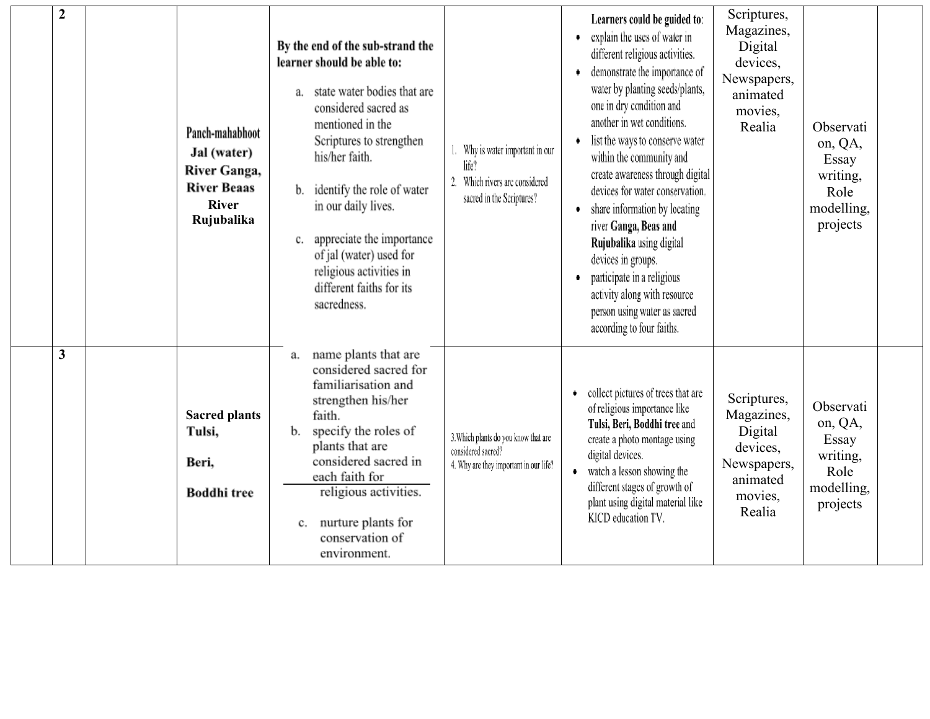| $\boldsymbol{2}$        | Panch-mahabhoot<br>Jal (water)<br>River Ganga,<br><b>River Beaas</b><br><b>River</b><br>Rujubalika | By the end of the sub-strand the<br>learner should be able to:<br>state water bodies that are<br>а.<br>considered sacred as<br>mentioned in the<br>Scriptures to strengthen<br>his/her faith.<br>identify the role of water<br>b.<br>in our daily lives.<br>appreciate the importance<br>c.<br>of jal (water) used for<br>religious activities in<br>different faiths for its<br>sacredness. | Why is water important in our<br>life?<br>2.<br>Which rivers are considered<br>sacred in the Scriptures? | Learners could be guided to:<br>explain the uses of water in<br>٠<br>different religious activities.<br>demonstrate the importance of<br>water by planting seeds/plants,<br>one in dry condition and<br>another in wet conditions.<br>list the ways to conserve water<br>٠<br>within the community and<br>create awareness through digital<br>devices for water conservation.<br>share information by locating<br>٠<br>river Ganga, Beas and<br>Rujubalika using digital<br>devices in groups.<br>participate in a religious<br>٠<br>activity along with resource<br>person using water as sacred<br>according to four faiths. | Scriptures,<br>Magazines,<br>Digital<br>devices,<br>Newspapers,<br>animated<br>movies,<br>Realia | Observati<br>on, QA,<br>Essay<br>writing,<br>Role<br>modelling,<br>projects |  |
|-------------------------|----------------------------------------------------------------------------------------------------|----------------------------------------------------------------------------------------------------------------------------------------------------------------------------------------------------------------------------------------------------------------------------------------------------------------------------------------------------------------------------------------------|----------------------------------------------------------------------------------------------------------|--------------------------------------------------------------------------------------------------------------------------------------------------------------------------------------------------------------------------------------------------------------------------------------------------------------------------------------------------------------------------------------------------------------------------------------------------------------------------------------------------------------------------------------------------------------------------------------------------------------------------------|--------------------------------------------------------------------------------------------------|-----------------------------------------------------------------------------|--|
| $\overline{\mathbf{3}}$ | <b>Sacred plants</b><br>Tulsi,<br>Beri,<br><b>Boddhi</b> tree                                      | name plants that are<br>a.<br>considered sacred for<br>familiarisation and<br>strengthen his/her<br>faith.<br>specify the roles of<br>b.<br>plants that are<br>considered sacred in<br>each faith for<br>religious activities.<br>nurture plants for<br>c.<br>conservation of<br>environment.                                                                                                | 3. Which plants do you know that are<br>considered sacred?<br>4. Why are they important in our life?     | collect pictures of trees that are<br>٠<br>of religious importance like<br>Tulsi, Beri, Boddhi tree and<br>create a photo montage using<br>digital devices.<br>• watch a lesson showing the<br>different stages of growth of<br>plant using digital material like<br>KICD education TV.                                                                                                                                                                                                                                                                                                                                        | Scriptures,<br>Magazines,<br>Digital<br>devices,<br>Newspapers,<br>animated<br>movies,<br>Realia | Observati<br>on, QA,<br>Essay<br>writing,<br>Role<br>modelling,<br>projects |  |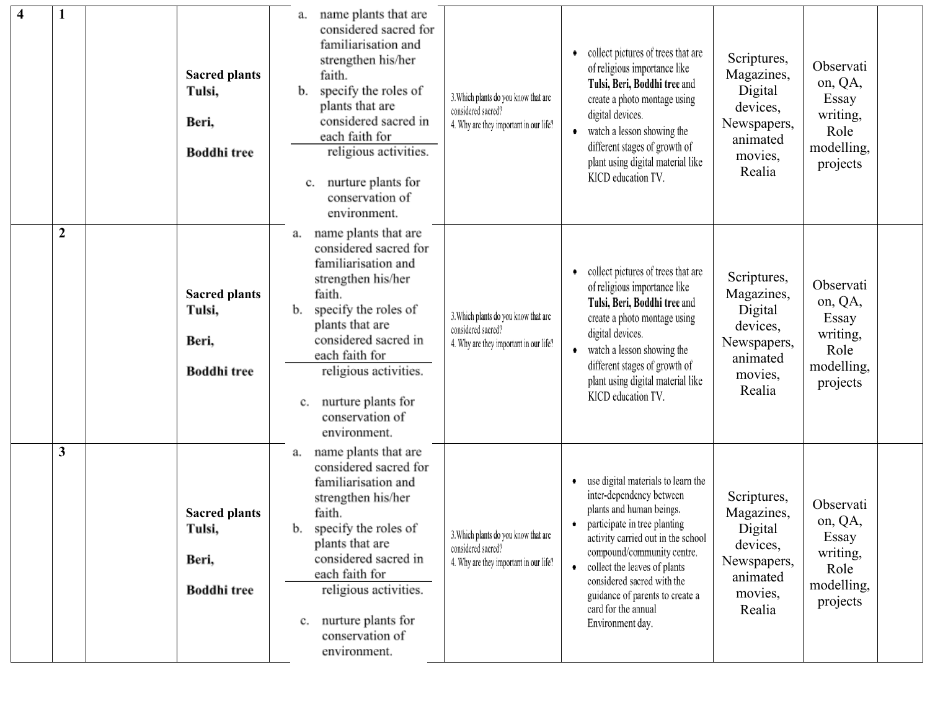| $\overline{\mathbf{4}}$ |                  | <b>Sacred plants</b><br>Tulsi,<br>Beri,<br><b>Boddhi</b> tree | name plants that are<br>а.<br>considered sacred for<br>familiarisation and<br>strengthen his/her<br>faith.<br>specify the roles of<br>b.<br>plants that are<br>considered sacred in<br>each faith for<br>religious activities.<br>nurture plants for<br>c.<br>conservation of<br>environment. | 3. Which plants do you know that are<br>considered sacred?<br>4. Why are they important in our life? | collect pictures of trees that are<br>of religious importance like<br>Tulsi, Beri, Boddhi tree and<br>create a photo montage using<br>digital devices.<br>watch a lesson showing the<br>$\bullet$<br>different stages of growth of<br>plant using digital material like<br>KICD education TV.                                                                | Scriptures,<br>Magazines,<br>Digital<br>devices,<br>Newspapers,<br>animated<br>movies,<br>Realia | Observati<br>on, QA,<br>Essay<br>writing,<br>Role<br>modelling,<br>projects |  |
|-------------------------|------------------|---------------------------------------------------------------|-----------------------------------------------------------------------------------------------------------------------------------------------------------------------------------------------------------------------------------------------------------------------------------------------|------------------------------------------------------------------------------------------------------|--------------------------------------------------------------------------------------------------------------------------------------------------------------------------------------------------------------------------------------------------------------------------------------------------------------------------------------------------------------|--------------------------------------------------------------------------------------------------|-----------------------------------------------------------------------------|--|
|                         | $\boldsymbol{2}$ | <b>Sacred plants</b><br>Tulsi,<br>Beri,<br><b>Boddhi</b> tree | name plants that are<br>a.<br>considered sacred for<br>familiarisation and<br>strengthen his/her<br>faith.<br>specify the roles of<br>b.<br>plants that are<br>considered sacred in<br>each faith for<br>religious activities.<br>nurture plants for<br>c.<br>conservation of<br>environment. | 3. Which plants do you know that are<br>considered sacred?<br>4. Why are they important in our life? | collect pictures of trees that are<br>٠<br>of religious importance like<br>Tulsi, Beri, Boddhi tree and<br>create a photo montage using<br>digital devices.<br>watch a lesson showing the<br>$\bullet$<br>different stages of growth of<br>plant using digital material like<br>KICD education TV.                                                           | Scriptures,<br>Magazines,<br>Digital<br>devices,<br>Newspapers,<br>animated<br>movies,<br>Realia | Observati<br>on, QA,<br>Essay<br>writing,<br>Role<br>modelling,<br>projects |  |
|                         | 3                | <b>Sacred plants</b><br>Tulsi,<br>Beri,<br><b>Boddhi</b> tree | name plants that are<br>a.<br>considered sacred for<br>familiarisation and<br>strengthen his/her<br>faith.<br>specify the roles of<br>b.<br>plants that are<br>considered sacred in<br>each faith for<br>religious activities.<br>nurture plants for<br>c.<br>conservation of<br>environment. | 3. Which plants do you know that are<br>considered sacred?<br>4. Why are they important in our life? | use digital materials to learn the<br>inter-dependency between<br>plants and human beings.<br>participate in tree planting<br>٠<br>activity carried out in the school<br>compound/community centre.<br>collect the leaves of plants<br>$\bullet$<br>considered sacred with the<br>guidance of parents to create a<br>card for the annual<br>Environment day. | Scriptures,<br>Magazines,<br>Digital<br>devices,<br>Newspapers,<br>animated<br>movies,<br>Realia | Observati<br>on, QA,<br>Essay<br>writing,<br>Role<br>modelling,<br>projects |  |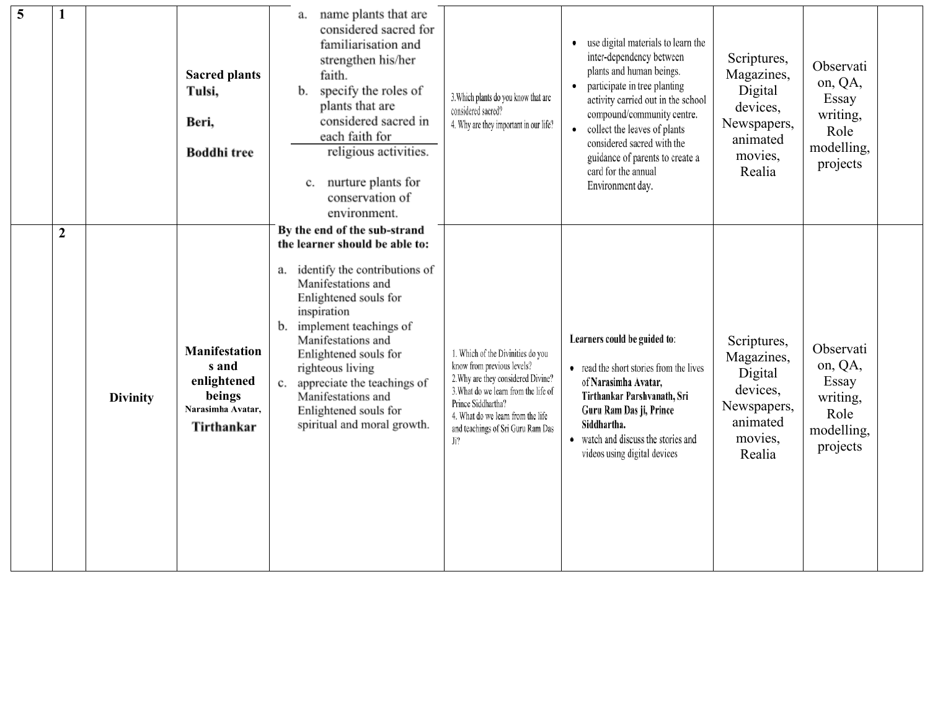| 5 |                  |                 | <b>Sacred plants</b><br>Tulsi,<br>Beri,<br><b>Boddhi</b> tree                             | name plants that are<br>а.<br>considered sacred for<br>familiarisation and<br>strengthen his/her<br>faith.<br>specify the roles of<br>b.<br>plants that are<br>considered sacred in<br>each faith for<br>religious activities.<br>nurture plants for<br>c.<br>conservation of<br>environment.                                                                                    | 3. Which plants do you know that are<br>considered sacred?<br>4. Why are they important in our life?                                                                                                                                                 | use digital materials to learn the<br>٠<br>inter-dependency between<br>plants and human beings.<br>participate in tree planting<br>٠<br>activity carried out in the school<br>compound/community centre.<br>• collect the leaves of plants<br>considered sacred with the<br>guidance of parents to create a<br>card for the annual<br>Environment day. | Scriptures,<br>Magazines,<br>Digital<br>devices,<br>Newspapers,<br>animated<br>movies,<br>Realia | Observati<br>on, QA,<br>Essay<br>writing,<br>Role<br>modelling,<br>projects |  |
|---|------------------|-----------------|-------------------------------------------------------------------------------------------|----------------------------------------------------------------------------------------------------------------------------------------------------------------------------------------------------------------------------------------------------------------------------------------------------------------------------------------------------------------------------------|------------------------------------------------------------------------------------------------------------------------------------------------------------------------------------------------------------------------------------------------------|--------------------------------------------------------------------------------------------------------------------------------------------------------------------------------------------------------------------------------------------------------------------------------------------------------------------------------------------------------|--------------------------------------------------------------------------------------------------|-----------------------------------------------------------------------------|--|
|   | $\boldsymbol{2}$ | <b>Divinity</b> | <b>Manifestation</b><br>s and<br>enlightened<br>beings<br>Narasimha Avatar,<br>Tirthankar | By the end of the sub-strand<br>the learner should be able to:<br>a. identify the contributions of<br>Manifestations and<br>Enlightened souls for<br>inspiration<br>b. implement teachings of<br>Manifestations and<br>Enlightened souls for<br>righteous living<br>c. appreciate the teachings of<br>Manifestations and<br>Enlightened souls for<br>spiritual and moral growth. | 1. Which of the Divinities do you<br>know from previous levels?<br>2. Why are they considered Divine?<br>3. What do we learn from the life of<br>Prince Siddhartha?<br>4. What do we learn from the life<br>and teachings of Sri Guru Ram Das<br>Ji? | Learners could be guided to:<br>• read the short stories from the lives<br>of Narasimha Avatar,<br>Tirthankar Parshvanath, Sri<br>Guru Ram Das ji, Prince<br>Siddhartha.<br>• watch and discuss the stories and<br>videos using digital devices                                                                                                        | Scriptures,<br>Magazines,<br>Digital<br>devices,<br>Newspapers,<br>animated<br>movies,<br>Realia | Observati<br>on, QA,<br>Essay<br>writing,<br>Role<br>modelling,<br>projects |  |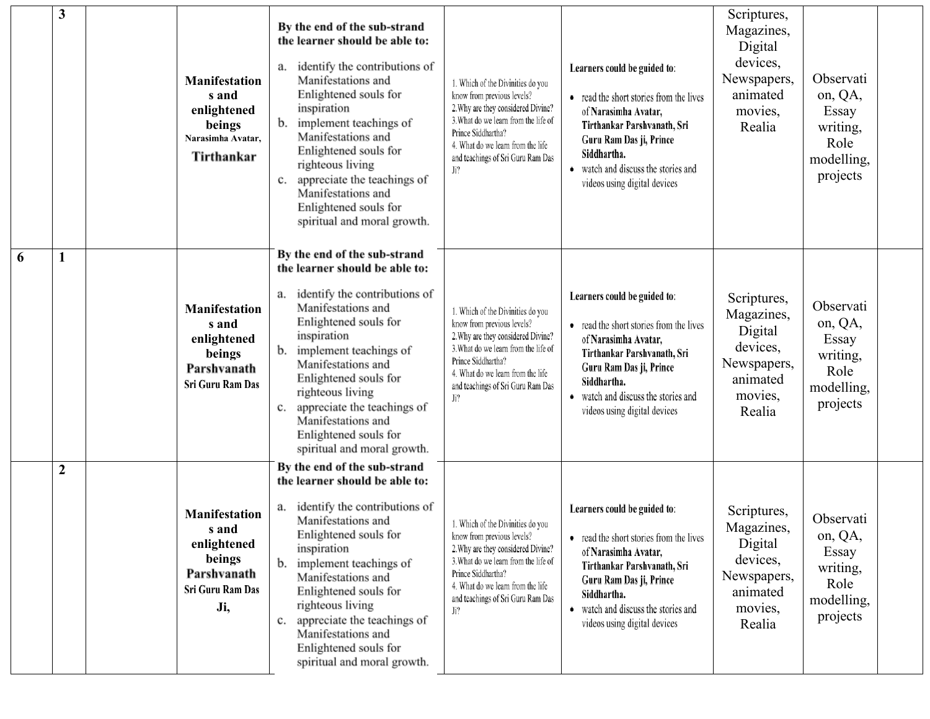|   | 3              | <b>Manifestation</b><br>s and<br>enlightened<br>beings<br>Narasimha Avatar,<br>Tirthankar        | By the end of the sub-strand<br>the learner should be able to:<br>a. identify the contributions of<br>Manifestations and<br>Enlightened souls for<br>inspiration<br>b. implement teachings of<br>Manifestations and<br>Enlightened souls for<br>righteous living<br>c. appreciate the teachings of<br>Manifestations and<br>Enlightened souls for<br>spiritual and moral growth.    | 1. Which of the Divinities do you<br>know from previous levels?<br>2. Why are they considered Divine?<br>3. What do we learn from the life of<br>Prince Siddhartha?<br>4. What do we learn from the life<br>and teachings of Sri Guru Ram Das<br>Ji? | Learners could be guided to:<br>• read the short stories from the lives<br>of Narasimha Avatar,<br>Tirthankar Parshvanath, Sri<br>Guru Ram Das ji, Prince<br>Siddhartha.<br>• watch and discuss the stories and<br>videos using digital devices | Scriptures,<br>Magazines,<br>Digital<br>devices,<br>Newspapers,<br>animated<br>movies,<br>Realia | Observati<br>on, QA,<br>Essay<br>writing,<br>Role<br>modelling,<br>projects |  |
|---|----------------|--------------------------------------------------------------------------------------------------|-------------------------------------------------------------------------------------------------------------------------------------------------------------------------------------------------------------------------------------------------------------------------------------------------------------------------------------------------------------------------------------|------------------------------------------------------------------------------------------------------------------------------------------------------------------------------------------------------------------------------------------------------|-------------------------------------------------------------------------------------------------------------------------------------------------------------------------------------------------------------------------------------------------|--------------------------------------------------------------------------------------------------|-----------------------------------------------------------------------------|--|
| 6 | 1              | <b>Manifestation</b><br>s and<br>enlightened<br>beings<br>Parshvanath<br>Sri Guru Ram Das        | By the end of the sub-strand<br>the learner should be able to:<br>identify the contributions of<br>a.<br>Manifestations and<br>Enlightened souls for<br>inspiration<br>implement teachings of<br>Manifestations and<br>Enlightened souls for<br>righteous living<br>appreciate the teachings of<br>c.<br>Manifestations and<br>Enlightened souls for<br>spiritual and moral growth. | 1. Which of the Divinities do you<br>know from previous levels?<br>2. Why are they considered Divine?<br>3. What do we learn from the life of<br>Prince Siddhartha?<br>4. What do we learn from the life<br>and teachings of Sri Guru Ram Das<br>Ji? | Learners could be guided to:<br>• read the short stories from the lives<br>of Narasimha Avatar,<br>Tirthankar Parshvanath, Sri<br>Guru Ram Das ji, Prince<br>Siddhartha.<br>• watch and discuss the stories and<br>videos using digital devices | Scriptures,<br>Magazines,<br>Digital<br>devices,<br>Newspapers,<br>animated<br>movies,<br>Realia | Observati<br>on, QA,<br>Essay<br>writing,<br>Role<br>modelling,<br>projects |  |
|   | $\overline{2}$ | <b>Manifestation</b><br>s and<br>enlightened<br>beings<br>Parshvanath<br>Sri Guru Ram Das<br>Ji, | By the end of the sub-strand<br>the learner should be able to:<br>identify the contributions of<br>a.<br>Manifestations and<br>Enlightened souls for<br>inspiration<br>b. implement teachings of<br>Manifestations and<br>Enlightened souls for<br>righteous living<br>c. appreciate the teachings of<br>Manifestations and<br>Enlightened souls for<br>spiritual and moral growth. | 1. Which of the Divinities do you<br>know from previous levels?<br>2. Why are they considered Divine?<br>3. What do we learn from the life of<br>Prince Siddhartha?<br>4. What do we learn from the life<br>and teachings of Sri Guru Ram Das<br>Ji? | Learners could be guided to:<br>• read the short stories from the lives<br>of Narasimha Avatar,<br>Tirthankar Parshvanath, Sri<br>Guru Ram Das ji, Prince<br>Siddhartha.<br>watch and discuss the stories and<br>videos using digital devices   | Scriptures,<br>Magazines,<br>Digital<br>devices,<br>Newspapers,<br>animated<br>movies,<br>Realia | Observati<br>on, QA,<br>Essay<br>writing,<br>Role<br>modelling,<br>projects |  |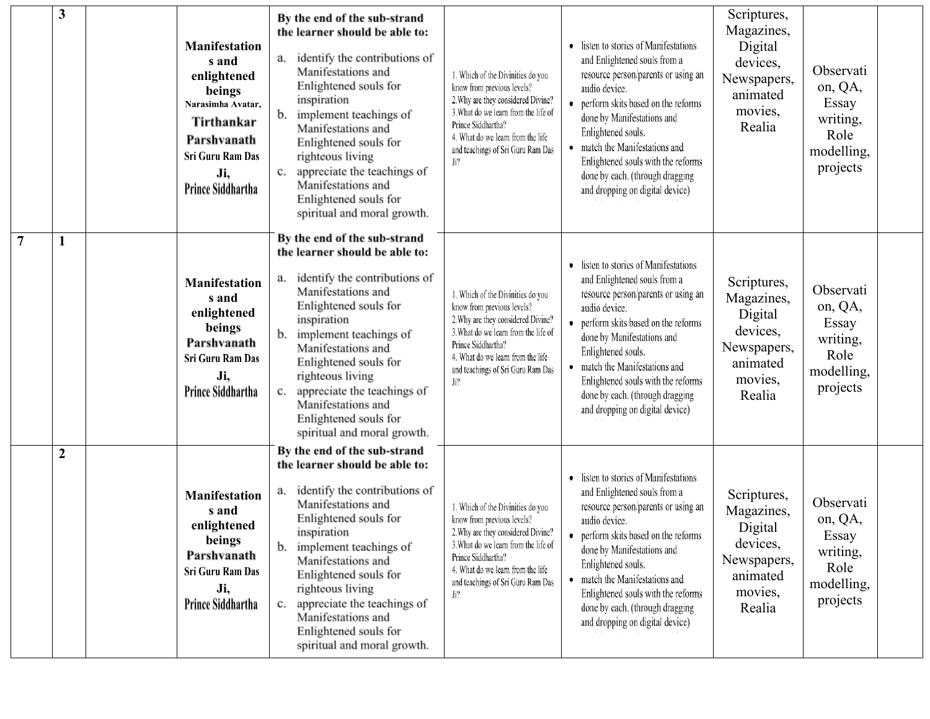|                | 3              | <b>Manifestation</b><br>s and<br>enlightened<br>beings<br>Narasimha Avatar,<br>Tirthankar<br>Parshvanath<br>Sri Guru Ram Das<br>Ji,<br>Prince Siddhartha | By the end of the sub-strand<br>the learner should be able to:<br>identify the contributions of<br>а.<br>Manifestations and<br>Enlightened souls for<br>inspiration<br>b.<br>implement teachings of<br>Manifestations and<br>Enlightened souls for<br>righteous living<br>appreciate the teachings of<br>c.<br>Manifestations and<br>Enlightened souls for<br>spiritual and moral growth. | 1. Which of the Divinities do you<br>know from previous levels?<br>2. Why are they considered Divine?<br>3. What do we learn from the life of<br>Prince Siddhartha?<br>4. What do we learn from the life<br>and teachings of Sri Guru Ram Das<br>Ji? | • listen to stories of Manifestations<br>and Enlightened souls from a<br>resource person/parents or using an<br>audio device.<br>• perform skits based on the reforms<br>done by Manifestations and<br>Enlightened souls.<br>• match the Manifestations and<br>Enlightened souls with the reforms<br>done by each. (through dragging<br>and dropping on digital device) | Scriptures,<br>Magazines,<br>Digital<br>devices,<br>Newspapers,<br>animated<br>movies,<br>Realia | Observati<br>on, QA,<br>Essay<br>writing,<br>Role<br>modelling,<br>projects |
|----------------|----------------|----------------------------------------------------------------------------------------------------------------------------------------------------------|-------------------------------------------------------------------------------------------------------------------------------------------------------------------------------------------------------------------------------------------------------------------------------------------------------------------------------------------------------------------------------------------|------------------------------------------------------------------------------------------------------------------------------------------------------------------------------------------------------------------------------------------------------|-------------------------------------------------------------------------------------------------------------------------------------------------------------------------------------------------------------------------------------------------------------------------------------------------------------------------------------------------------------------------|--------------------------------------------------------------------------------------------------|-----------------------------------------------------------------------------|
| $\overline{7}$ |                | <b>Manifestation</b><br>s and<br>enlightened<br>beings<br>Parshvanath<br>Sri Guru Ram Das<br>Ji,<br>Prince Siddhartha                                    | By the end of the sub-strand<br>the learner should be able to:<br>identify the contributions of<br>а.<br>Manifestations and<br>Enlightened souls for<br>inspiration<br>b.<br>implement teachings of<br>Manifestations and<br>Enlightened souls for<br>righteous living<br>appreciate the teachings of<br>c.<br>Manifestations and<br>Enlightened souls for<br>spiritual and moral growth. | 1. Which of the Divinities do you<br>know from previous levels?<br>2. Why are they considered Divine?<br>3. What do we learn from the life of<br>Prince Siddhartha?<br>4. What do we learn from the life<br>and teachings of Sri Guru Ram Das<br>Ji? | • listen to stories of Manifestations<br>and Enlightened souls from a<br>resource person/parents or using an<br>audio device.<br>• perform skits based on the reforms<br>done by Manifestations and<br>Enlightened souls.<br>• match the Manifestations and<br>Enlightened souls with the reforms<br>done by each. (through dragging<br>and dropping on digital device) | Scriptures,<br>Magazines,<br>Digital<br>devices,<br>Newspapers,<br>animated<br>movies,<br>Realia | Observati<br>on, QA,<br>Essay<br>writing,<br>Role<br>modelling,<br>projects |
|                | $\overline{2}$ | <b>Manifestation</b><br>s and<br>enlightened<br>beings<br>Parshvanath<br>Sri Guru Ram Das<br>Ji,<br>Prince Siddhartha                                    | By the end of the sub-strand<br>the learner should be able to:<br>identify the contributions of<br>а.<br>Manifestations and<br>Enlightened souls for<br>inspiration<br>implement teachings of<br>b.<br>Manifestations and<br>Enlightened souls for<br>righteous living<br>appreciate the teachings of<br>c.<br>Manifestations and<br>Enlightened souls for<br>spiritual and moral growth. | 1. Which of the Divinities do you<br>know from previous levels?<br>2. Why are they considered Divine?<br>3. What do we learn from the life of<br>Prince Siddhartha?<br>4. What do we learn from the life<br>and teachings of Sri Guru Ram Das<br>Ji? | • listen to stories of Manifestations<br>and Enlightened souls from a<br>resource person/parents or using an<br>audio device.<br>• perform skits based on the reforms<br>done by Manifestations and<br>Enlightened souls.<br>• match the Manifestations and<br>Enlightened souls with the reforms<br>done by each. (through dragging<br>and dropping on digital device) | Scriptures,<br>Magazines,<br>Digital<br>devices,<br>Newspapers,<br>animated<br>movies,<br>Realia | Observati<br>on, QA,<br>Essay<br>writing,<br>Role<br>modelling,<br>projects |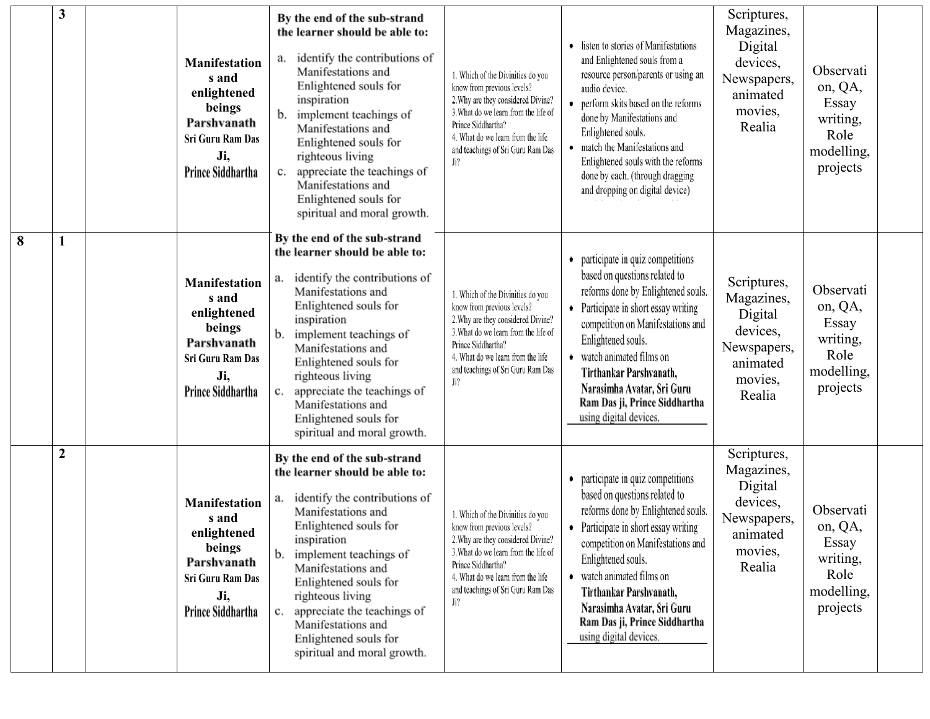|   | 3              | <b>Manifestation</b><br>s and<br>enlightened<br>beings<br>Parshvanath<br>Sri Guru Ram Das<br>Ji,<br>Prince Siddhartha | By the end of the sub-strand<br>the learner should be able to:<br>identify the contributions of<br>а.<br>Manifestations and<br>Enlightened souls for<br>inspiration<br>implement teachings of<br>Manifestations and<br>Enlightened souls for<br>righteous living<br>appreciate the teachings of<br>c.<br>Manifestations and<br>Enlightened souls for<br>spiritual and moral growth. | 1. Which of the Divinities do you<br>know from previous levels?<br>2. Why are they considered Divine?<br>3. What do we learn from the life of<br>Prince Siddhartha?<br>4. What do we learn from the life<br>and teachings of Sri Guru Ram Das<br>Ji? | • listen to stories of Manifestations<br>and Enlightened souls from a<br>resource person/parents or using an<br>audio device.<br>• perform skits based on the reforms<br>done by Manifestations and<br>Enlightened souls.<br>match the Manifestations and<br>Enlightened souls with the reforms<br>done by each. (through dragging<br>and dropping on digital device) | Scriptures,<br>Magazines,<br>Digital<br>devices,<br>Newspapers,<br>animated<br>movies,<br>Realia | Observati<br>on, QA,<br>Essay<br>writing,<br>Role<br>modelling,<br>projects |  |
|---|----------------|-----------------------------------------------------------------------------------------------------------------------|-------------------------------------------------------------------------------------------------------------------------------------------------------------------------------------------------------------------------------------------------------------------------------------------------------------------------------------------------------------------------------------|------------------------------------------------------------------------------------------------------------------------------------------------------------------------------------------------------------------------------------------------------|-----------------------------------------------------------------------------------------------------------------------------------------------------------------------------------------------------------------------------------------------------------------------------------------------------------------------------------------------------------------------|--------------------------------------------------------------------------------------------------|-----------------------------------------------------------------------------|--|
| 8 | 1              | <b>Manifestation</b><br>s and<br>enlightened<br>beings<br>Parshvanath<br>Sri Guru Ram Das<br>Ji,<br>Prince Siddhartha | By the end of the sub-strand<br>the learner should be able to:<br>identify the contributions of<br>a.<br>Manifestations and<br>Enlightened souls for<br>inspiration<br>implement teachings of<br>Manifestations and<br>Enlightened souls for<br>righteous living<br>appreciate the teachings of<br>Manifestations and<br>Enlightened souls for<br>spiritual and moral growth.       | 1. Which of the Divinities do you<br>know from previous levels?<br>2. Why are they considered Divine?<br>3. What do we learn from the life of<br>Prince Siddhartha?<br>4. What do we learn from the life<br>and teachings of Sri Guru Ram Das<br>Ji? | • participate in quiz competitions<br>based on questions related to<br>reforms done by Enlightened souls.<br>• Participate in short essay writing<br>competition on Manifestations and<br>Enlightened souls.<br>• watch animated films on<br>Tirthankar Parshvanath,<br>Narasimha Avatar, Sri Guru<br>Ram Das ji, Prince Siddhartha<br>using digital devices.         | Scriptures,<br>Magazines,<br>Digital<br>devices,<br>Newspapers,<br>animated<br>movies,<br>Realia | Observati<br>on, QA,<br>Essay<br>writing,<br>Role<br>modelling,<br>projects |  |
|   | $\overline{2}$ | <b>Manifestation</b><br>s and<br>enlightened<br>beings<br>Parshvanath<br>Sri Guru Ram Das<br>Ji,<br>Prince Siddhartha | By the end of the sub-strand<br>the learner should be able to:<br>identify the contributions of<br>a.<br>Manifestations and<br>Enlightened souls for<br>inspiration<br>implement teachings of<br>b.<br>Manifestations and<br>Enlightened souls for<br>righteous living<br>appreciate the teachings of<br>Manifestations and<br>Enlightened souls for<br>spiritual and moral growth. | 1. Which of the Divinities do you<br>know from previous levels?<br>2. Why are they considered Divine?<br>3. What do we learn from the life of<br>Prince Siddhartha?<br>4. What do we learn from the life<br>and teachings of Sri Guru Ram Das<br>Ji? | participate in quiz competitions<br>based on questions related to<br>reforms done by Enlightened souls.<br>• Participate in short essay writing<br>competition on Manifestations and<br>Enlightened souls.<br>• watch animated films on<br>Tirthankar Parshvanath,<br>Narasimha Avatar, Sri Guru<br>Ram Das ji, Prince Siddhartha<br>using digital devices.           | Scriptures,<br>Magazines,<br>Digital<br>devices,<br>Newspapers,<br>animated<br>movies,<br>Realia | Observati<br>on, QA,<br>Essay<br>writing,<br>Role<br>modelling,<br>projects |  |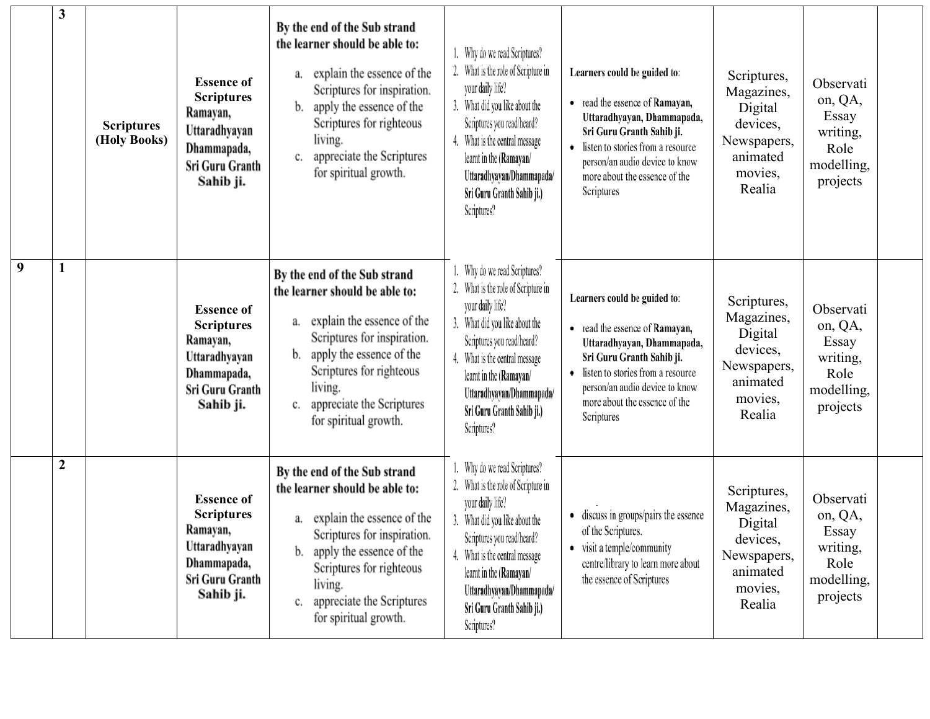|   | 3              | <b>Scriptures</b><br>(Holy Books) | <b>Essence of</b><br><b>Scriptures</b><br>Ramayan,<br>Uttaradhyayan<br>Dhammapada,<br>Sri Guru Granth<br>Sahib ji. | By the end of the Sub strand<br>the learner should be able to:<br>explain the essence of the<br>a.<br>Scriptures for inspiration.<br>apply the essence of the<br>b.<br>Scriptures for righteous<br>living.<br>appreciate the Scriptures<br>c.<br>for spiritual growth. | Why do we read Scriptures?<br>2. What is the role of Scripture in<br>your daily life?<br>3. What did you like about the<br>Scriptures you read/heard?<br>4. What is the central message<br>learnt in the (Ramayan/<br>Uttaradhyayan/Dhammapada/<br>Sri Guru Granth Sahib ji.)<br>Scriptures? | Learners could be guided to:<br>• read the essence of Ramayan,<br>Uttaradhyayan, Dhammapada,<br>Sri Guru Granth Sahib ji.<br>listen to stories from a resource<br>person/an audio device to know<br>more about the essence of the<br>Scriptures | Scriptures,<br>Magazines,<br>Digital<br>devices,<br>Newspapers,<br>animated<br>movies,<br>Realia | Observati<br>on, QA,<br>Essay<br>writing,<br>Role<br>modelling,<br>projects |  |
|---|----------------|-----------------------------------|--------------------------------------------------------------------------------------------------------------------|------------------------------------------------------------------------------------------------------------------------------------------------------------------------------------------------------------------------------------------------------------------------|----------------------------------------------------------------------------------------------------------------------------------------------------------------------------------------------------------------------------------------------------------------------------------------------|-------------------------------------------------------------------------------------------------------------------------------------------------------------------------------------------------------------------------------------------------|--------------------------------------------------------------------------------------------------|-----------------------------------------------------------------------------|--|
| 9 | 1              |                                   | <b>Essence of</b><br><b>Scriptures</b><br>Ramayan,<br>Uttaradhyayan<br>Dhammapada,<br>Sri Guru Granth<br>Sahib ji. | By the end of the Sub strand<br>the learner should be able to:<br>explain the essence of the<br>а.<br>Scriptures for inspiration.<br>apply the essence of the<br>b.<br>Scriptures for righteous<br>living.<br>appreciate the Scriptures<br>c.<br>for spiritual growth. | Why do we read Scriptures?<br>2. What is the role of Scripture in<br>your daily life?<br>What did you like about the<br>Scriptures you read/heard?<br>4. What is the central message<br>learnt in the (Ramayan/<br>Uttaradhyayan/Dhammapada/<br>Sri Guru Granth Sahib ji.)<br>Scriptures?    | Learners could be guided to:<br>• read the essence of Ramayan,<br>Uttaradhyayan, Dhammapada,<br>Sri Guru Granth Sahib ji.<br>listen to stories from a resource<br>person/an audio device to know<br>more about the essence of the<br>Scriptures | Scriptures,<br>Magazines,<br>Digital<br>devices,<br>Newspapers,<br>animated<br>movies,<br>Realia | Observati<br>on, QA,<br>Essay<br>writing,<br>Role<br>modelling,<br>projects |  |
|   | $\overline{2}$ |                                   | <b>Essence of</b><br><b>Scriptures</b><br>Ramayan,<br>Uttaradhyayan<br>Dhammapada,<br>Sri Guru Granth<br>Sahib ji. | By the end of the Sub strand<br>the learner should be able to:<br>a. explain the essence of the<br>Scriptures for inspiration.<br>apply the essence of the<br>b.<br>Scriptures for righteous<br>living.<br>appreciate the Scriptures<br>c.<br>for spiritual growth.    | Why do we read Scriptures?<br>2. What is the role of Scripture in<br>your daily life?<br>3. What did you like about the<br>Scriptures you read/heard?<br>4. What is the central message<br>learnt in the (Ramayan/<br>Uttaradhyayan/Dhammapada/<br>Sri Guru Granth Sahib ji.)<br>Scriptures? | discuss in groups/pairs the essence<br>of the Scriptures.<br>• visit a temple/community<br>centre/library to learn more about<br>the essence of Scriptures                                                                                      | Scriptures,<br>Magazines,<br>Digital<br>devices,<br>Newspapers,<br>animated<br>movies,<br>Realia | Observati<br>on, QA,<br>Essay<br>writing,<br>Role<br>modelling,<br>projects |  |